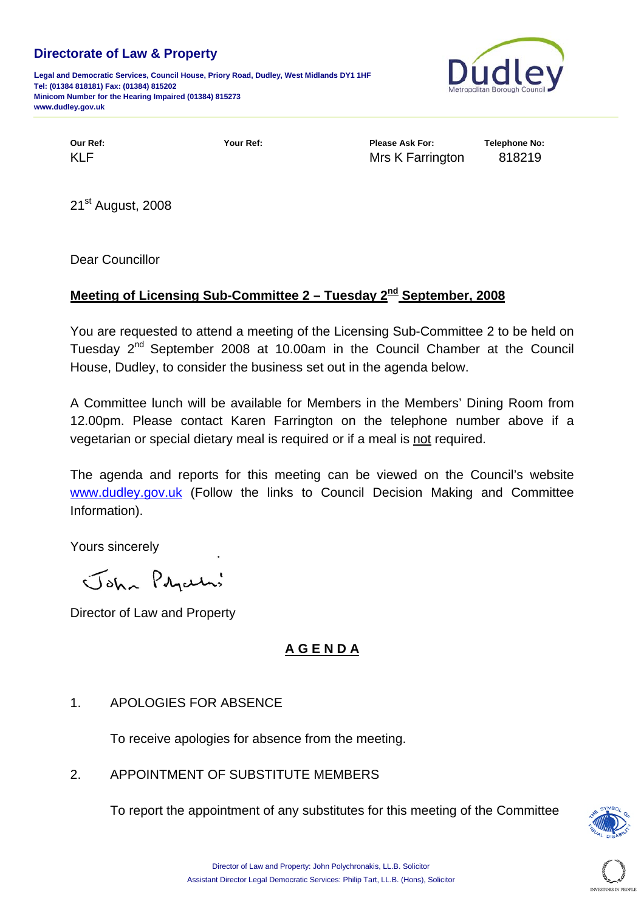#### **Directorate of Law & Property**

**Legal and Democratic Services, Council House, Priory Road, Dudley, West Midlands DY1 1HF Tel: (01384 818181) Fax: (01384) 815202 Minicom Number for the Hearing Impaired (01384) 815273 www.dudley.gov.uk**



**Our Ref: Your Ref: Please Ask For: Telephone No:**  KLF **KLF** Mrs K Farrington 818219

21<sup>st</sup> August, 2008

Dear Councillor

## **Meeting of Licensing Sub-Committee 2 – Tuesday 2nd September, 2008**

You are requested to attend a meeting of the Licensing Sub-Committee 2 to be held on Tuesday 2<sup>nd</sup> September 2008 at 10.00am in the Council Chamber at the Council House, Dudley, to consider the business set out in the agenda below.

A Committee lunch will be available for Members in the Members' Dining Room from 12.00pm. Please contact Karen Farrington on the telephone number above if a vegetarian or special dietary meal is required or if a meal is not required.

The agenda and reports for this meeting can be viewed on the Council's website [www.dudley.gov.uk](http://www.dudley.gov.uk/) (Follow the links to Council Decision Making and Committee Information).

Yours sincerely

John Prycelas

Director of Law and Property

# **A G E N D A**

## 1. APOLOGIES FOR ABSENCE

To receive apologies for absence from the meeting.

## 2. APPOINTMENT OF SUBSTITUTE MEMBERS

To report the appointment of any substitutes for this meeting of the Committee